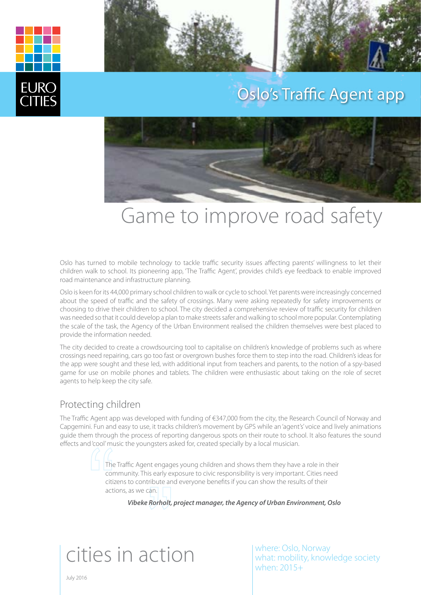



### Oslo's Traffic Agent app



# Game to improve road safety

Oslo has turned to mobile technology to tackle traffic security issues affecting parents' willingness to let their children walk to school. Its pioneering app, 'The Traffic Agent', provides child's eye feedback to enable improved road maintenance and infrastructure planning.

Oslo is keen for its 44,000 primary school children to walk or cycle to school. Yet parents were increasingly concerned about the speed of traffic and the safety of crossings. Many were asking repeatedly for safety improvements or choosing to drive their children to school. The city decided a comprehensive review of traffic security for children was needed so that it could develop a plan to make streets safer and walking to school more popular. Contemplating the scale of the task, the Agency of the Urban Environment realised the children themselves were best placed to provide the information needed.

The city decided to create a crowdsourcing tool to capitalise on children's knowledge of problems such as where crossings need repairing, cars go too fast or overgrown bushes force them to step into the road. Children's ideas for the app were sought and these led, with additional input from teachers and parents, to the notion of a spy-based game for use on mobile phones and tablets. The children were enthusiastic about taking on the role of secret agents to help keep the city safe.

#### Protecting children

The Traffic Agent app was developed with funding of €347,000 from the city, the Research Council of Norway and Capgemini. Fun and easy to use, it tracks children's movement by GPS while an 'agent's' voice and lively animations guide them through the process of reporting dangerous spots on their route to school. It also features the sound effects and 'cool' music the youngsters asked for, created specially by a local musician.

> The Traffic Agent engages young children and shows them they have a role in their community. This early exposure to civic responsibility is very important. Cities need citizens to contribute and everyone benefits if you can show the results of their actions, as we can.

*Vibeke Rorholt, project manager, the Agency of Urban Environment, Oslo*

# cities in action

where: Oslo, Norway what: mobility, knowledge society when: 2015+

July 2016